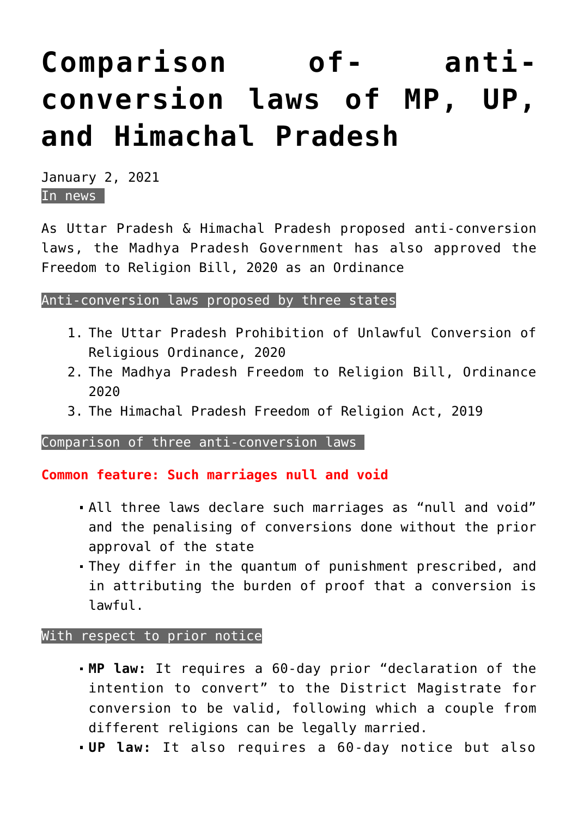# **[Comparison of- anti](https://journalsofindia.com/comparison-of-anti-conversion-laws-of-mp-up-and-himachal-pradesh/)[conversion laws of MP, UP,](https://journalsofindia.com/comparison-of-anti-conversion-laws-of-mp-up-and-himachal-pradesh/) [and Himachal Pradesh](https://journalsofindia.com/comparison-of-anti-conversion-laws-of-mp-up-and-himachal-pradesh/)**

January 2, 2021 In news

As Uttar Pradesh & Himachal Pradesh proposed anti-conversion laws, the Madhya Pradesh Government has also approved the Freedom to Religion Bill, 2020 as an Ordinance

## Anti-conversion laws proposed by three states

- 1. The Uttar Pradesh Prohibition of Unlawful Conversion of Religious Ordinance, 2020
- 2. The Madhya Pradesh Freedom to Religion Bill, Ordinance 2020
- 3. The Himachal Pradesh Freedom of Religion Act, 2019

Comparison of three anti-conversion laws

**Common feature: Such marriages null and void**

- All three laws declare such marriages as "null and void" and the penalising of conversions done without the prior approval of the state
- They differ in the quantum of punishment prescribed, and in attributing the burden of proof that a conversion is lawful.

## With respect to prior notice

- **MP law:** It requires a 60-day prior "declaration of the intention to convert" to the District Magistrate for conversion to be valid, following which a couple from different religions can be legally married.
- **UP law:** It also requires a 60-day notice but also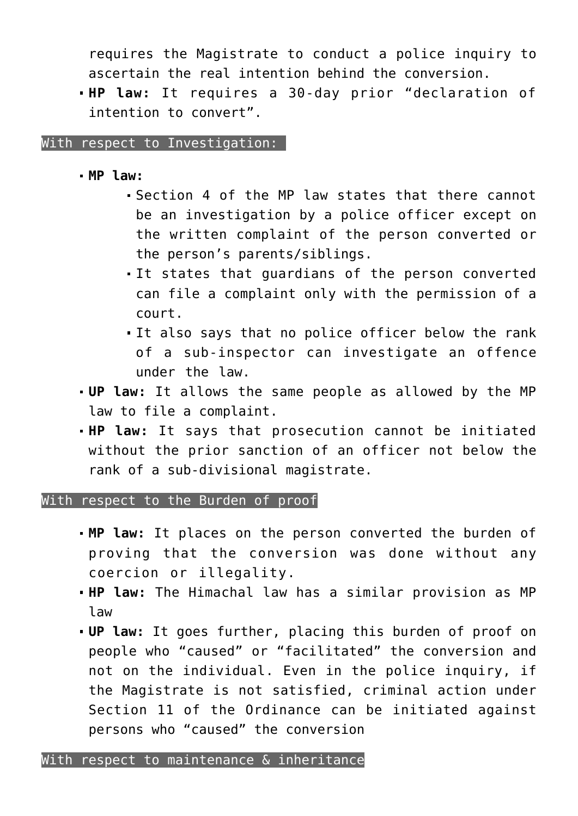requires the Magistrate to conduct a police inquiry to ascertain the real intention behind the conversion.

**HP law:** It requires a 30-day prior "declaration of intention to convert".

With respect to Investigation: |

- **MP law:**
	- Section 4 of the MP law states that there cannot be an investigation by a police officer except on the written complaint of the person converted or the person's parents/siblings.
	- It states that guardians of the person converted can file a complaint only with the permission of a court.
	- It also says that no police officer below the rank of a sub-inspector can investigate an offence under the law.
- **UP law:** It allows the same people as allowed by the MP law to file a complaint.
- **HP law:** It says that prosecution cannot be initiated without the prior sanction of an officer not below the rank of a sub-divisional magistrate.

#### With respect to the Burden of proof

- **MP law:** It places on the person converted the burden of proving that the conversion was done without any coercion or illegality.
- **HP law:** The Himachal law has a similar provision as MP law
- **UP law:** It goes further, placing this burden of proof on people who "caused" or "facilitated" the conversion and not on the individual. Even in the police inquiry, if the Magistrate is not satisfied, criminal action under Section 11 of the Ordinance can be initiated against persons who "caused" the conversion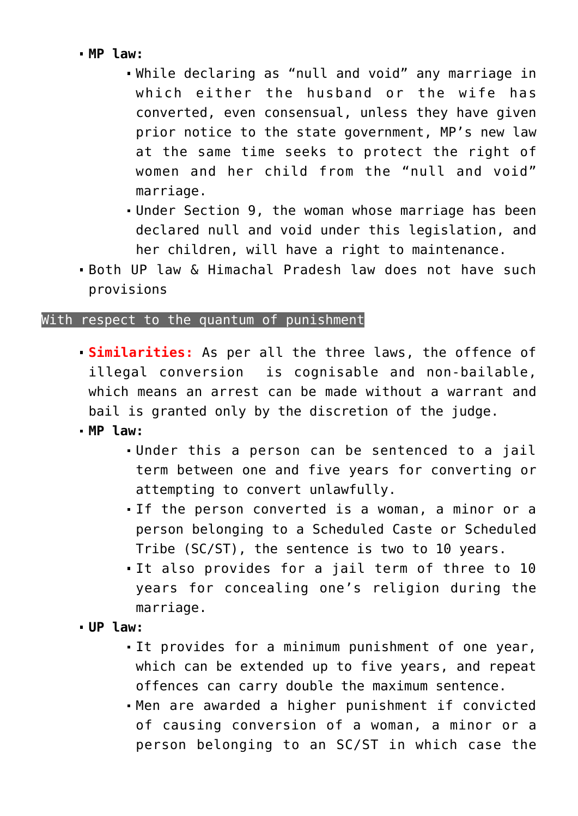# **MP law:**

- While declaring as "null and void" any marriage in which either the husband or the wife has converted, even consensual, unless they have given prior notice to the state government, MP's new law at the same time seeks to protect the right of women and her child from the "null and void" marriage.
- Under Section 9, the woman whose marriage has been declared null and void under this legislation, and her children, will have a right to maintenance.
- Both UP law & Himachal Pradesh law does not have such provisions

# With respect to the quantum of punishment

- **Similarities:** As per all the three laws, the offence of illegal conversion is cognisable and non-bailable, which means an arrest can be made without a warrant and bail is granted only by the discretion of the judge.
- **MP law:** 
	- Under this a person can be sentenced to a jail term between one and five years for converting or attempting to convert unlawfully.
	- If the person converted is a woman, a minor or a person belonging to a Scheduled Caste or Scheduled Tribe (SC/ST), the sentence is two to 10 years.
	- It also provides for a jail term of three to 10 years for concealing one's religion during the marriage.
- **UP law:** 
	- It provides for a minimum punishment of one year, which can be extended up to five years, and repeat offences can carry double the maximum sentence.
	- Men are awarded a higher punishment if convicted of causing conversion of a woman, a minor or a person belonging to an SC/ST in which case the